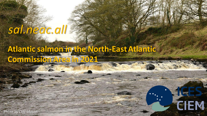# *sal.neac.all*

## **Atlantic salmon in the North-East Atlantic Commission Area in 2021**

*E~î•íñ*

CEM

*W•vš-]}(šZ/^À]}všovš]^ou}v(ŒušZ*

*E}ŒšZr-•šovš]}šZE}ŒšZr-•šo-*

*Photo by Cliff Mason*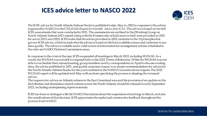### **ICES advice letter to NASCO 2022**



The ICES advice for North Atlantic Salmon Stocks is published today, May 6th 2022 in response to the advice requested by NASCO in the CNL(21)14 *Request for Scientific Advice from ICES.* The advice is based on the full ICES assessments that were conducted in 2021. The assessments are outlined in the [Working Group on North Atlantic Salmon 2021 report] along with the Frameworks of Indicators (which were provided in 2021 for use in 2022 and 2023). ICES states that the advice provided in 2022 conforms to the 10 principles that govern ICES advice, which include that the advice is based on the best available science and conforms to our data quality. The advice is suitable and a valid source of information for management actions scheduled in the relevant NASCO Salmon Commission areas.

In response to the crisis in Europe, ICES suspended all meetings in March 2022, including WGNAS. As a result, the WGNAS was not able to respond fully to the 2022 Terms of Reference. While the WGNAS was not able to reschedule their annual meeting, group members met by correspondence in April to discuss existing data, the advice published in 2021, and quality assurance issues, to evaluate recommendations for advice for the North Atlantic Salmon Stocks for the years outlined in the NASCO recurrent advice request. The 2022 WGNAS report will be updated mid-May with sections specifying the process evaluating the re-issued advice.

The requests for advice on Atlantic salmon in the East Greenland area and the provision of an update on the distribution and abundance of pink salmon across the North Atlantic should be released in early September 2022, including underpinning report materials.

ICES has been in dialogue with the NASCO Secretariat about the suspension of meetings in March, and also the ramifications of that decision. ICES appreciates the useful and constructive feedback throughout this process from NASCO.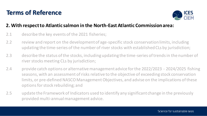### **Terms of Reference**



#### **2. With respect to Atlantic salmon in the North-East Atlantic Commission area:**

- 2.1 describe the key events of the 2021 fisheries;
- 2.2 review and report on the development of age-specific stock conservation limits, including updating the time-series of the number of river stocks with established CLs by jurisdiction;
- 2.3 describe the status of the stocks, including updating the time-series of trends in the number of river stocks meeting CLs by jurisdiction;
- 2.4 provide catch options or alternative management advice for the 2022/2023 2024/2025 fishing seasons, with an assessment of risks relative to the objective of exceeding stock conservation limits, or pre-defined NASCO Management Objectives, and advise on the implications of these options for stock rebuilding; and
- 2.5 update the Framework of Indicators used to identify any significant change in the previously provided multi-annual management advice.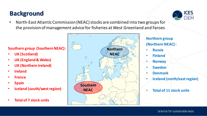### **Background**



• North-East Atlantic Commission (NEAC) stocks are combined into two groups for the provision of management advice for fisheries at West Greenland and Faroes

**Southern group (Southern NEAC) :** 

- **UK (Scotland)**
- **UK (England & Wales)**
- **UK (Northern Ireland)**
- **Ireland**
- **France**
- **Spain**
- **Iceland (south/west region)**
- **Total of 7 stock units**



**Northern group (Northern NEAC) :** 

- **Russia**
- **Finland**
- **Norway**
- **Sweden**
- **Denmark**
- **Iceland (north/east region)**
- **Total of 11 stock units**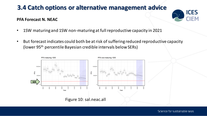#### **PFA Forecast N. NEAC**



- 1SW maturing and 1SW non-maturing at full reproductive capacity in 2021
- But forecast indicates could both be at risk of suffering reduced reproductive capacity (lower 95th percentile Bayesian credible intervals below SERs)

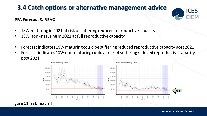#### **PFA Forecast S. NEAC**



- 1SW maturing in 2021 at risk of suffering reduced reproductive capacity
- 1SW non-maturing in 2021 at full reproductive capacity
- Forecast indicates 1SW maturing could be suffering reduced reproductive capacity post 2021
- Forecast indicates 1SW non-maturing could at risk of suffering reduced reproductive capacity post 2021

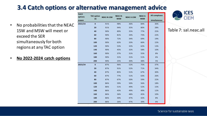- No probabilities that the NEAC 1SW and MSW will meet or exceed the SER simultaneously for both regions at any TAC option
- **No 2022-2024 catch options**

| 2022/23<br>98%<br>36%<br>$\bf{0}$<br>91%<br>84%<br>30%<br>20<br>80%<br>91%<br>94%<br>35%<br>28%<br>40<br>90%<br>89%<br>35%<br>77%<br>25%<br>60<br>90%<br>81%<br>73%<br>22%<br>34%<br>80<br>69%<br>90%<br>72%<br>34%<br>19%<br>100<br>90%<br>63%<br>33%<br>66%<br>15%<br>62%<br>120<br>90%<br>53%<br>32%<br>13% |  |
|----------------------------------------------------------------------------------------------------------------------------------------------------------------------------------------------------------------------------------------------------------------------------------------------------------------|--|
|                                                                                                                                                                                                                                                                                                                |  |
|                                                                                                                                                                                                                                                                                                                |  |
|                                                                                                                                                                                                                                                                                                                |  |
|                                                                                                                                                                                                                                                                                                                |  |
|                                                                                                                                                                                                                                                                                                                |  |
|                                                                                                                                                                                                                                                                                                                |  |
|                                                                                                                                                                                                                                                                                                                |  |
| 140<br>90%<br>45%<br>32%<br>58%<br>10%                                                                                                                                                                                                                                                                         |  |
| 160<br>37%<br>31%<br>55%<br>8%<br>90%                                                                                                                                                                                                                                                                          |  |
| 6%<br>180<br>90%<br>31%<br>31%<br>51%                                                                                                                                                                                                                                                                          |  |
| 200<br>90%<br>25%<br>30%<br>48%<br>5%                                                                                                                                                                                                                                                                          |  |
| 2023/24<br>$\mathbf{0}$<br>96%<br>87%<br>52%<br>75%<br>37%                                                                                                                                                                                                                                                     |  |
| 20<br>87%<br>91%<br>52%<br>71%<br>34%                                                                                                                                                                                                                                                                          |  |
| 40<br>85%<br>67%<br>30%<br>87%<br>51%                                                                                                                                                                                                                                                                          |  |
| 60<br>63%<br>87%<br>77%<br>51%<br>26%                                                                                                                                                                                                                                                                          |  |
| 80<br>87%<br>50%<br>59%<br>22%<br>67%                                                                                                                                                                                                                                                                          |  |
| 56%<br>100<br>86%<br>59%<br>50%<br>18%                                                                                                                                                                                                                                                                         |  |
| 120<br>86%<br>51%<br>49%<br>52%<br>15%                                                                                                                                                                                                                                                                         |  |
| 140<br>49%<br>49%<br>12%<br>86%<br>43%                                                                                                                                                                                                                                                                         |  |
| 160<br>10%<br>86%<br>36%<br>48%<br>45%                                                                                                                                                                                                                                                                         |  |
| 180<br>42%<br>8%<br>86%<br>30%<br>47%                                                                                                                                                                                                                                                                          |  |
| 6%<br>200<br>86%<br>26%<br>47%<br>39%                                                                                                                                                                                                                                                                          |  |



#### Table 7: sal.neac.all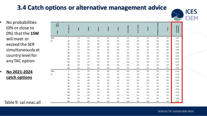

- No probabilities (0% or close to 0%) that the **1SW** will meet or exceed the SER simultaneously a country level for any TAC option
- **No 2021-2024 catch options**

| <b>NO propabilities</b><br>(0% or close to<br>0%) that the 1SW | Catch<br>options<br>season | TAC option (t) | Russia     | Finland    | Norway     | Sweden     | Iceland    | JK (Scotland) | UK (N. Ireland) | Ireland    | nd & Wales<br><b>JK</b> (Engla | France     | All 1SW MUs<br>simultaneous |
|----------------------------------------------------------------|----------------------------|----------------|------------|------------|------------|------------|------------|---------------|-----------------|------------|--------------------------------|------------|-----------------------------|
| will meet or                                                   | 2022/                      | $\pmb{0}$      | 27%        | 33%        | 95%        | 84%        | 66%        | 63%           | 25%             | 24%        | 23%                            | 28%        | 0.00%                       |
|                                                                | 23                         | 20             | 27%        | 33%        | 95%        | 84%        | 65%        | 63%           | 25%             | 24%        | 23%                            | 28%        | 0.00%                       |
| exceed the SER                                                 |                            | 40<br>60       | 27%<br>27% | 33%<br>33% | 95%<br>95% | 84%<br>84% | 65%<br>65% | 62%<br>61%    | 24%<br>24%      | 24%<br>23% | 23%<br>22%                     | 28%<br>28% | 0.00%<br>0.00%              |
| simultaneously at                                              |                            | 80             | 27%        | 33%        | 94%        | 84%        | 65%        | 61%           | 24%             | 23%        | 22%                            | 28%        | 0.00%                       |
|                                                                |                            | 100            | 27%        | 33%        | 94%        | 84%        | 64%        | 60%           | 24%             | 23%        | 22%                            | 28%        | 0.00%                       |
| country level for                                              |                            | 120            | 26%        | 33%        | 94%        | 84%        | 64%        | 60%           | 24%             | 23%        | 22%                            | 28%        | 0.00%                       |
| any TAC option                                                 |                            | 140            | 26%        | 33%        | 94%        | 84%        | 64%        | 59%           | 23%             | 23%        | 22%                            | 28%        | 0.00%                       |
|                                                                |                            | 160<br>180     | 26%<br>26% | 32%<br>32% | 94%<br>94% | 84%<br>84% | 64%<br>63% | 58%<br>58%    | 23%<br>23%      | 22%<br>22% | 22%<br>21%                     | 27%<br>27% | 0.00%<br>0.00%              |
|                                                                |                            | 200            | 26%        | 32%        | 94%        | 84%        | 63%        | 57%           | 23%             | 22%        | 21%                            | 27%        | 0.00%                       |
| No 2021-2024                                                   | 2023/                      | $\mathbf 0$    | 37%        | 29%        | 92%        | 83%        | 55%        | 68%           | 34%             | 32%        | 34%                            | 32%        | 0.10%                       |
|                                                                | 24                         | 20             | 37%        | 28%        | 92%        | 83%        | 54%        | 67%           | 33%             | 32%        | 34%                            | 32%        | 0.00%                       |
| catch options                                                  |                            | 40             | 36%        | 28%        | 92%        | 83%        | 54%        | 67%           | 33%             | 32%        | 34%                            | 32%        | 0.00%                       |
|                                                                |                            | 60             | 36%        | 28%        | 92%        | 83%        | 54%        | 66%           | 33%             | 32%        | 33%                            | 32%        | 0.00%                       |
|                                                                |                            | 80<br>100      | 36%<br>36% | 28%<br>28% | 92%<br>92% | 83%<br>83% | 54%<br>54% | 66%<br>65%    | 33%<br>32%      | 31%<br>31% | 33%<br>33%                     | 32%<br>31% | 0.00%<br>0.00%              |
|                                                                |                            | 120            | 36%        | 28%        | 91%        | 83%        | 53%        | 65%           | 32%             | 31%        | 33%                            | 31%        | 0.00%                       |
|                                                                |                            | 140            | 36%        | 28%        | 91%        | 83%        | 53%        | 64%           | 32%             | 31%        | 33%                            | 31%        | 0.00%                       |
|                                                                |                            | 160            | 36%        | 28%        | 91%        | 83%        | 53%        | 64%           | 32%             | 31%        | 33%                            | 31%        | 0.00%                       |
|                                                                |                            | 180            | 36%        | 28%        | 91%        | 83%        | 53%        | 63%           | 31%             | 31%        | 32%                            | 31%        | 0.00%                       |
| Table 9: sal.neac.all                                          |                            | 200            | 35%        | 28%        | 91%        | 82%        | 52%        | 63%           | 31%             | 30%        | 32%                            | 31%        | 0.00%                       |